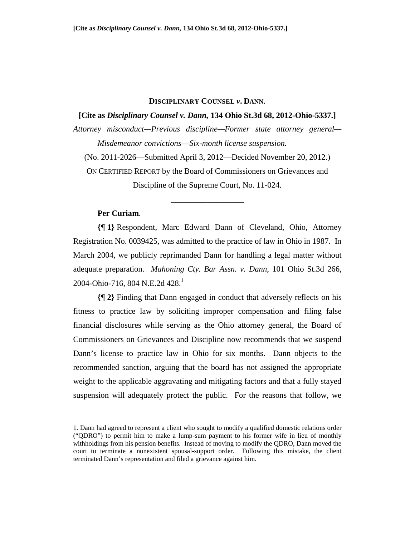#### **DISCIPLINARY COUNSEL** *v***. DANN**.

# **[Cite as** *Disciplinary Counsel v. Dann,* **134 Ohio St.3d 68, 2012-Ohio-5337.]**

*Attorney misconduct—Previous discipline—Former state attorney general— Misdemeanor convictions*—*Six-month license suspension.* 

(No. 2011-2026—Submitted April 3, 2012—Decided November 20, 2012.)

ON CERTIFIED REPORT by the Board of Commissioners on Grievances and Discipline of the Supreme Court, No. 11-024.

\_\_\_\_\_\_\_\_\_\_\_\_\_\_\_\_\_\_

# **Per Curiam**.

1

**{¶ 1}** Respondent, Marc Edward Dann of Cleveland, Ohio, Attorney Registration No. 0039425, was admitted to the practice of law in Ohio in 1987. In March 2004, we publicly reprimanded Dann for handling a legal matter without adequate preparation. *Mahoning Cty. Bar Assn. v. Dann*, 101 Ohio St.3d 266, 2004-Ohio-716, 804 N.E.2d 428.<sup>1</sup>

**{¶ 2}** Finding that Dann engaged in conduct that adversely reflects on his fitness to practice law by soliciting improper compensation and filing false financial disclosures while serving as the Ohio attorney general, the Board of Commissioners on Grievances and Discipline now recommends that we suspend Dann's license to practice law in Ohio for six months. Dann objects to the recommended sanction, arguing that the board has not assigned the appropriate weight to the applicable aggravating and mitigating factors and that a fully stayed suspension will adequately protect the public. For the reasons that follow, we

<sup>1.</sup> Dann had agreed to represent a client who sought to modify a qualified domestic relations order ("QDRO") to permit him to make a lump-sum payment to his former wife in lieu of monthly withholdings from his pension benefits. Instead of moving to modify the QDRO, Dann moved the court to terminate a nonexistent spousal-support order. Following this mistake, the client terminated Dann's representation and filed a grievance against him.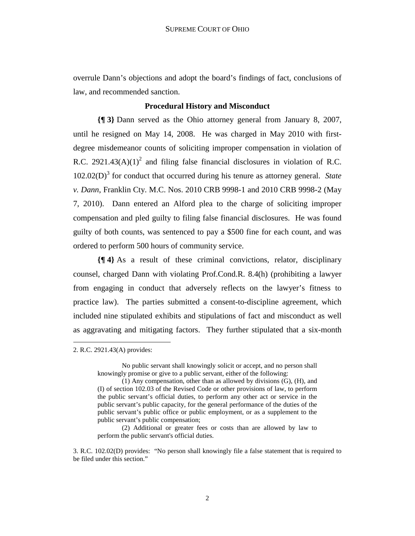overrule Dann's objections and adopt the board's findings of fact, conclusions of law, and recommended sanction.

# **Procedural History and Misconduct**

**{¶ 3}** Dann served as the Ohio attorney general from January 8, 2007, until he resigned on May 14, 2008. He was charged in May 2010 with firstdegree misdemeanor counts of soliciting improper compensation in violation of R.C. 2921.43(A)(1)<sup>2</sup> and filing false financial disclosures in violation of R.C. 102.02(D)<sup>3</sup> for conduct that occurred during his tenure as attorney general. State *v. Dann*, Franklin Cty. M.C. Nos. 2010 CRB 9998-1 and 2010 CRB 9998-2 (May 7, 2010). Dann entered an Alford plea to the charge of soliciting improper compensation and pled guilty to filing false financial disclosures. He was found guilty of both counts, was sentenced to pay a \$500 fine for each count, and was ordered to perform 500 hours of community service.

**{¶ 4}** As a result of these criminal convictions, relator, disciplinary counsel, charged Dann with violating Prof.Cond.R. 8.4(h) (prohibiting a lawyer from engaging in conduct that adversely reflects on the lawyer's fitness to practice law). The parties submitted a consent-to-discipline agreement, which included nine stipulated exhibits and stipulations of fact and misconduct as well as aggravating and mitigating factors. They further stipulated that a six-month

 $\overline{a}$ 

<sup>2.</sup> R.C. 2921.43(A) provides:

No public servant shall knowingly solicit or accept, and no person shall knowingly promise or give to a public servant, either of the following:

<sup>(1)</sup> Any compensation, other than as allowed by divisions (G), (H), and (I) of section 102.03 of the Revised Code or other provisions of law, to perform the public servant's official duties, to perform any other act or service in the public servant's public capacity, for the general performance of the duties of the public servant's public office or public employment, or as a supplement to the public servant's public compensation;

<sup>(2)</sup> Additional or greater fees or costs than are allowed by law to perform the public servant's official duties.

<sup>3.</sup> R.C. 102.02(D) provides: "No person shall knowingly file a false statement that is required to be filed under this section."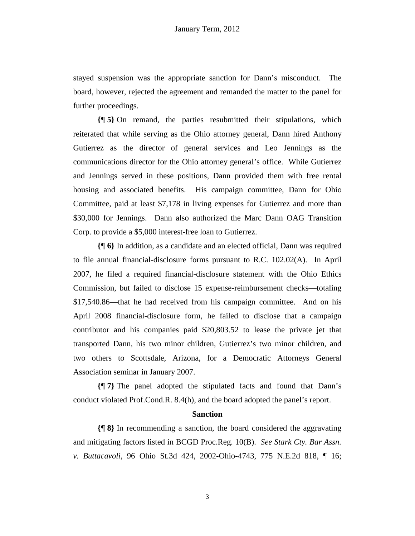stayed suspension was the appropriate sanction for Dann's misconduct. The board, however, rejected the agreement and remanded the matter to the panel for further proceedings.

**{¶ 5}** On remand, the parties resubmitted their stipulations, which reiterated that while serving as the Ohio attorney general, Dann hired Anthony Gutierrez as the director of general services and Leo Jennings as the communications director for the Ohio attorney general's office. While Gutierrez and Jennings served in these positions, Dann provided them with free rental housing and associated benefits. His campaign committee, Dann for Ohio Committee, paid at least \$7,178 in living expenses for Gutierrez and more than \$30,000 for Jennings. Dann also authorized the Marc Dann OAG Transition Corp. to provide a \$5,000 interest-free loan to Gutierrez.

**{¶ 6}** In addition, as a candidate and an elected official, Dann was required to file annual financial-disclosure forms pursuant to R.C. 102.02(A). In April 2007, he filed a required financial-disclosure statement with the Ohio Ethics Commission, but failed to disclose 15 expense-reimbursement checks—totaling \$17,540.86—that he had received from his campaign committee. And on his April 2008 financial-disclosure form, he failed to disclose that a campaign contributor and his companies paid \$20,803.52 to lease the private jet that transported Dann, his two minor children, Gutierrez's two minor children, and two others to Scottsdale, Arizona, for a Democratic Attorneys General Association seminar in January 2007.

**{¶ 7}** The panel adopted the stipulated facts and found that Dann's conduct violated Prof.Cond.R. 8.4(h), and the board adopted the panel's report.

# **Sanction**

**{¶ 8}** In recommending a sanction, the board considered the aggravating and mitigating factors listed in BCGD Proc.Reg. 10(B). *See Stark Cty. Bar Assn. v. Buttacavoli*, 96 Ohio St.3d 424, 2002-Ohio-4743, 775 N.E.2d 818, ¶ 16;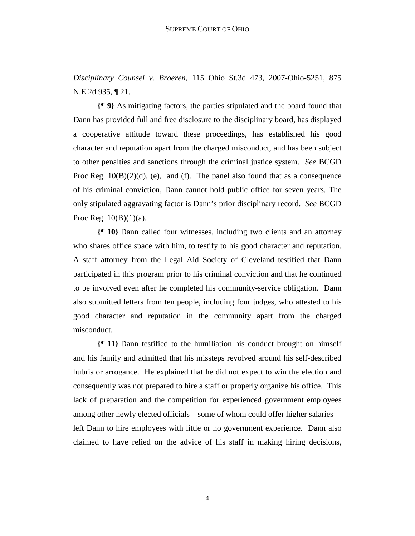*Disciplinary Counsel v. Broeren*, 115 Ohio St.3d 473, 2007-Ohio-5251, 875 N.E.2d 935, ¶ 21.

**{¶ 9}** As mitigating factors, the parties stipulated and the board found that Dann has provided full and free disclosure to the disciplinary board, has displayed a cooperative attitude toward these proceedings, has established his good character and reputation apart from the charged misconduct, and has been subject to other penalties and sanctions through the criminal justice system. *See* BCGD Proc.Reg.  $10(B)(2)(d)$ , (e), and (f). The panel also found that as a consequence of his criminal conviction, Dann cannot hold public office for seven years. The only stipulated aggravating factor is Dann's prior disciplinary record. *See* BCGD Proc.Reg.  $10(B)(1)(a)$ .

**{¶ 10}** Dann called four witnesses, including two clients and an attorney who shares office space with him, to testify to his good character and reputation. A staff attorney from the Legal Aid Society of Cleveland testified that Dann participated in this program prior to his criminal conviction and that he continued to be involved even after he completed his community-service obligation. Dann also submitted letters from ten people, including four judges, who attested to his good character and reputation in the community apart from the charged misconduct.

**{¶ 11}** Dann testified to the humiliation his conduct brought on himself and his family and admitted that his missteps revolved around his self-described hubris or arrogance. He explained that he did not expect to win the election and consequently was not prepared to hire a staff or properly organize his office. This lack of preparation and the competition for experienced government employees among other newly elected officials—some of whom could offer higher salaries left Dann to hire employees with little or no government experience. Dann also claimed to have relied on the advice of his staff in making hiring decisions,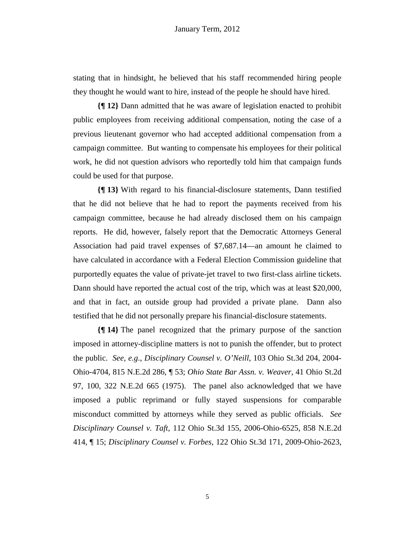stating that in hindsight, he believed that his staff recommended hiring people they thought he would want to hire, instead of the people he should have hired.

**{¶ 12}** Dann admitted that he was aware of legislation enacted to prohibit public employees from receiving additional compensation, noting the case of a previous lieutenant governor who had accepted additional compensation from a campaign committee. But wanting to compensate his employees for their political work, he did not question advisors who reportedly told him that campaign funds could be used for that purpose.

**{¶ 13}** With regard to his financial-disclosure statements, Dann testified that he did not believe that he had to report the payments received from his campaign committee, because he had already disclosed them on his campaign reports. He did, however, falsely report that the Democratic Attorneys General Association had paid travel expenses of \$7,687.14—an amount he claimed to have calculated in accordance with a Federal Election Commission guideline that purportedly equates the value of private-jet travel to two first-class airline tickets. Dann should have reported the actual cost of the trip, which was at least \$20,000, and that in fact, an outside group had provided a private plane. Dann also testified that he did not personally prepare his financial-disclosure statements.

**{¶ 14}** The panel recognized that the primary purpose of the sanction imposed in attorney-discipline matters is not to punish the offender, but to protect the public. *See, e.g*., *Disciplinary Counsel v. O'Neill*, 103 Ohio St.3d 204, 2004- Ohio-4704, 815 N.E.2d 286, ¶ 53; *Ohio State Bar Assn. v. Weaver*, 41 Ohio St.2d 97, 100, 322 N.E.2d 665 (1975). The panel also acknowledged that we have imposed a public reprimand or fully stayed suspensions for comparable misconduct committed by attorneys while they served as public officials. *See Disciplinary Counsel v. Taft*, 112 Ohio St.3d 155, 2006-Ohio-6525, 858 N.E.2d 414, ¶ 15; *Disciplinary Counsel v. Forbes*, 122 Ohio St.3d 171, 2009-Ohio-2623,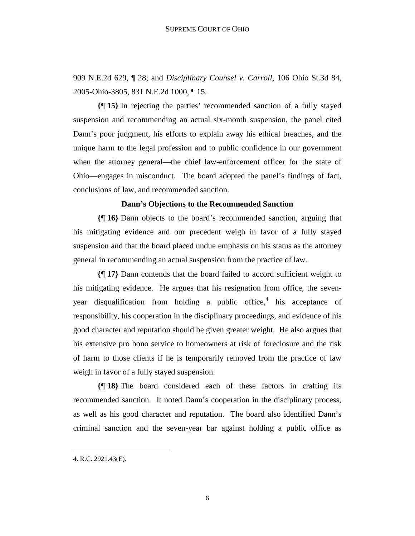909 N.E.2d 629, ¶ 28; and *Disciplinary Counsel v. Carroll*, 106 Ohio St.3d 84, 2005-Ohio-3805, 831 N.E.2d 1000, ¶ 15.

**{¶ 15}** In rejecting the parties' recommended sanction of a fully stayed suspension and recommending an actual six-month suspension, the panel cited Dann's poor judgment, his efforts to explain away his ethical breaches, and the unique harm to the legal profession and to public confidence in our government when the attorney general—the chief law-enforcement officer for the state of Ohio—engages in misconduct. The board adopted the panel's findings of fact, conclusions of law, and recommended sanction.

### **Dann's Objections to the Recommended Sanction**

**{¶ 16}** Dann objects to the board's recommended sanction, arguing that his mitigating evidence and our precedent weigh in favor of a fully stayed suspension and that the board placed undue emphasis on his status as the attorney general in recommending an actual suspension from the practice of law.

**{¶ 17}** Dann contends that the board failed to accord sufficient weight to his mitigating evidence. He argues that his resignation from office, the sevenyear disqualification from holding a public office, $4$  his acceptance of responsibility, his cooperation in the disciplinary proceedings, and evidence of his good character and reputation should be given greater weight. He also argues that his extensive pro bono service to homeowners at risk of foreclosure and the risk of harm to those clients if he is temporarily removed from the practice of law weigh in favor of a fully stayed suspension.

**{¶ 18}** The board considered each of these factors in crafting its recommended sanction. It noted Dann's cooperation in the disciplinary process, as well as his good character and reputation. The board also identified Dann's criminal sanction and the seven-year bar against holding a public office as

1

<sup>4.</sup> R.C. 2921.43(E).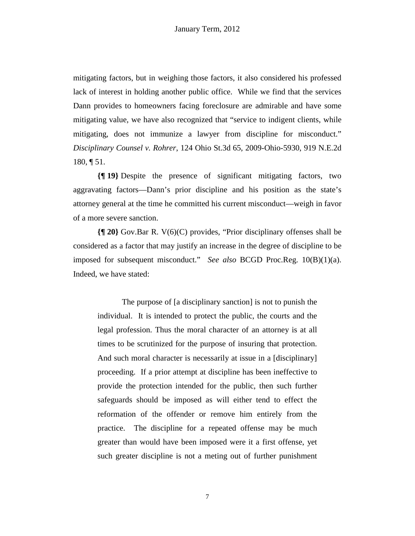mitigating factors, but in weighing those factors, it also considered his professed lack of interest in holding another public office. While we find that the services Dann provides to homeowners facing foreclosure are admirable and have some mitigating value, we have also recognized that "service to indigent clients, while mitigating, does not immunize a lawyer from discipline for misconduct." *Disciplinary Counsel v. Rohrer*, 124 Ohio St.3d 65, 2009-Ohio-5930, 919 N.E.2d 180, ¶ 51.

**{¶ 19}** Despite the presence of significant mitigating factors, two aggravating factors—Dann's prior discipline and his position as the state's attorney general at the time he committed his current misconduct—weigh in favor of a more severe sanction.

**{¶ 20}** Gov.Bar R. V(6)(C) provides, "Prior disciplinary offenses shall be considered as a factor that may justify an increase in the degree of discipline to be imposed for subsequent misconduct." *See also* BCGD Proc.Reg. 10(B)(1)(a). Indeed, we have stated:

The purpose of [a disciplinary sanction] is not to punish the individual. It is intended to protect the public, the courts and the legal profession. Thus the moral character of an attorney is at all times to be scrutinized for the purpose of insuring that protection. And such moral character is necessarily at issue in a [disciplinary] proceeding. If a prior attempt at discipline has been ineffective to provide the protection intended for the public, then such further safeguards should be imposed as will either tend to effect the reformation of the offender or remove him entirely from the practice. The discipline for a repeated offense may be much greater than would have been imposed were it a first offense, yet such greater discipline is not a meting out of further punishment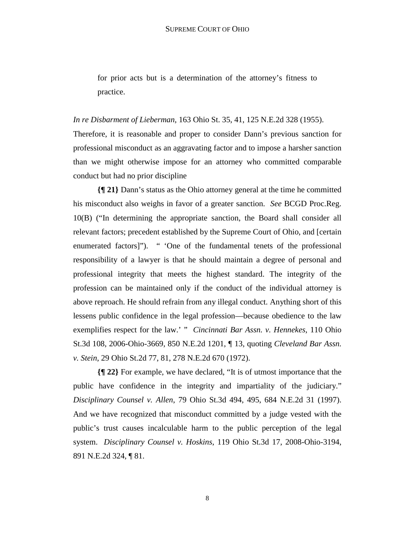for prior acts but is a determination of the attorney's fitness to practice.

*In re Disbarment of Lieberman*, 163 Ohio St. 35, 41, 125 N.E.2d 328 (1955).

Therefore, it is reasonable and proper to consider Dann's previous sanction for professional misconduct as an aggravating factor and to impose a harsher sanction than we might otherwise impose for an attorney who committed comparable conduct but had no prior discipline

**{¶ 21}** Dann's status as the Ohio attorney general at the time he committed his misconduct also weighs in favor of a greater sanction. *See* BCGD Proc.Reg. 10(B) ("In determining the appropriate sanction, the Board shall consider all relevant factors; precedent established by the Supreme Court of Ohio, and [certain enumerated factors]"). " 'One of the fundamental tenets of the professional responsibility of a lawyer is that he should maintain a degree of personal and professional integrity that meets the highest standard. The integrity of the profession can be maintained only if the conduct of the individual attorney is above reproach. He should refrain from any illegal conduct. Anything short of this lessens public confidence in the legal profession—because obedience to the law exemplifies respect for the law.' " *Cincinnati Bar Assn. v. Hennekes*, 110 Ohio St.3d 108, 2006-Ohio-3669, 850 N.E.2d 1201, ¶ 13, quoting *Cleveland Bar Assn. v. Stein*, 29 Ohio St.2d 77, 81, 278 N.E.2d 670 (1972).

**{¶ 22}** For example, we have declared, "It is of utmost importance that the public have confidence in the integrity and impartiality of the judiciary." *Disciplinary Counsel v. Allen*, 79 Ohio St.3d 494, 495, 684 N.E.2d 31 (1997). And we have recognized that misconduct committed by a judge vested with the public's trust causes incalculable harm to the public perception of the legal system. *Disciplinary Counsel v. Hoskins*, 119 Ohio St.3d 17, 2008-Ohio-3194, 891 N.E.2d 324, ¶ 81.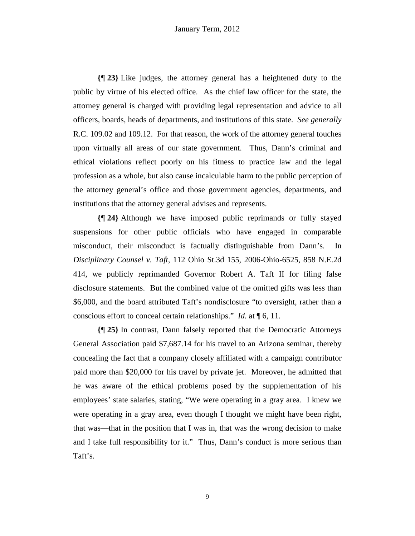**{¶ 23}** Like judges, the attorney general has a heightened duty to the public by virtue of his elected office. As the chief law officer for the state, the attorney general is charged with providing legal representation and advice to all officers, boards, heads of departments, and institutions of this state. *See generally* R.C. 109.02 and 109.12. For that reason, the work of the attorney general touches upon virtually all areas of our state government. Thus, Dann's criminal and ethical violations reflect poorly on his fitness to practice law and the legal profession as a whole, but also cause incalculable harm to the public perception of the attorney general's office and those government agencies, departments, and institutions that the attorney general advises and represents.

**{¶ 24}** Although we have imposed public reprimands or fully stayed suspensions for other public officials who have engaged in comparable misconduct, their misconduct is factually distinguishable from Dann's. In *Disciplinary Counsel v. Taft*, 112 Ohio St.3d 155, 2006-Ohio-6525, 858 N.E.2d 414, we publicly reprimanded Governor Robert A. Taft II for filing false disclosure statements. But the combined value of the omitted gifts was less than \$6,000, and the board attributed Taft's nondisclosure "to oversight, rather than a conscious effort to conceal certain relationships." *Id.* at ¶ 6, 11.

**{¶ 25}** In contrast, Dann falsely reported that the Democratic Attorneys General Association paid \$7,687.14 for his travel to an Arizona seminar, thereby concealing the fact that a company closely affiliated with a campaign contributor paid more than \$20,000 for his travel by private jet. Moreover, he admitted that he was aware of the ethical problems posed by the supplementation of his employees' state salaries, stating, "We were operating in a gray area. I knew we were operating in a gray area, even though I thought we might have been right, that was—that in the position that I was in, that was the wrong decision to make and I take full responsibility for it." Thus, Dann's conduct is more serious than Taft's.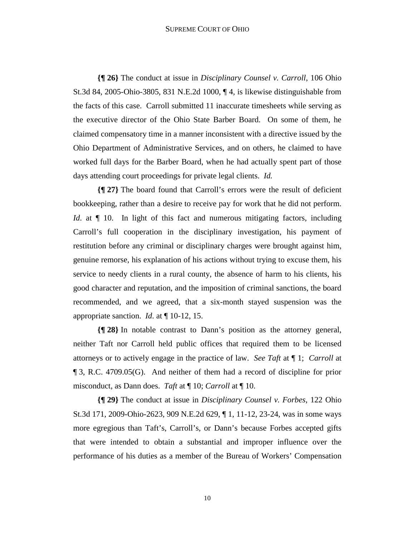#### SUPREME COURT OF OHIO

**{¶ 26}** The conduct at issue in *Disciplinary Counsel v. Carroll*, 106 Ohio St.3d 84, 2005-Ohio-3805, 831 N.E.2d 1000, ¶ 4, is likewise distinguishable from the facts of this case. Carroll submitted 11 inaccurate timesheets while serving as the executive director of the Ohio State Barber Board. On some of them, he claimed compensatory time in a manner inconsistent with a directive issued by the Ohio Department of Administrative Services, and on others, he claimed to have worked full days for the Barber Board, when he had actually spent part of those days attending court proceedings for private legal clients. *Id.* 

**{¶ 27}** The board found that Carroll's errors were the result of deficient bookkeeping, rather than a desire to receive pay for work that he did not perform. *Id*. at  $\P$  10. In light of this fact and numerous mitigating factors, including Carroll's full cooperation in the disciplinary investigation, his payment of restitution before any criminal or disciplinary charges were brought against him, genuine remorse, his explanation of his actions without trying to excuse them, his service to needy clients in a rural county, the absence of harm to his clients, his good character and reputation, and the imposition of criminal sanctions, the board recommended, and we agreed, that a six-month stayed suspension was the appropriate sanction. *Id*. at ¶ 10-12, 15.

**{¶ 28}** In notable contrast to Dann's position as the attorney general, neither Taft nor Carroll held public offices that required them to be licensed attorneys or to actively engage in the practice of law. *See Taft* at ¶ 1; *Carroll* at ¶ 3, R.C. 4709.05(G). And neither of them had a record of discipline for prior misconduct, as Dann does. *Taft* at ¶ 10; *Carroll* at ¶ 10.

**{¶ 29}** The conduct at issue in *Disciplinary Counsel v. Forbes*, 122 Ohio St.3d 171, 2009-Ohio-2623, 909 N.E.2d 629, ¶ 1, 11-12, 23-24, was in some ways more egregious than Taft's, Carroll's, or Dann's because Forbes accepted gifts that were intended to obtain a substantial and improper influence over the performance of his duties as a member of the Bureau of Workers' Compensation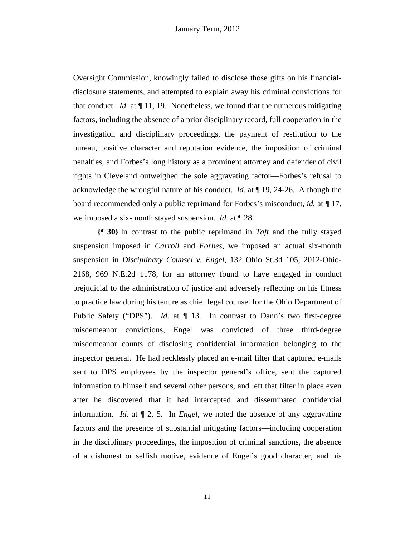Oversight Commission, knowingly failed to disclose those gifts on his financialdisclosure statements, and attempted to explain away his criminal convictions for that conduct. *Id.* at  $\P$  11, 19. Nonetheless, we found that the numerous mitigating factors, including the absence of a prior disciplinary record, full cooperation in the investigation and disciplinary proceedings, the payment of restitution to the bureau, positive character and reputation evidence, the imposition of criminal penalties, and Forbes's long history as a prominent attorney and defender of civil rights in Cleveland outweighed the sole aggravating factor—Forbes's refusal to acknowledge the wrongful nature of his conduct. *Id.* at ¶ 19, 24-26. Although the board recommended only a public reprimand for Forbes's misconduct, *id.* at ¶ 17, we imposed a six-month stayed suspension. *Id.* at ¶ 28.

**{¶ 30}** In contrast to the public reprimand in *Taft* and the fully stayed suspension imposed in *Carroll* and *Forbes*, we imposed an actual six-month suspension in *Disciplinary Counsel v. Engel*, 132 Ohio St.3d 105, 2012-Ohio-2168, 969 N.E.2d 1178, for an attorney found to have engaged in conduct prejudicial to the administration of justice and adversely reflecting on his fitness to practice law during his tenure as chief legal counsel for the Ohio Department of Public Safety ("DPS"). *Id.* at  $\P$  13. In contrast to Dann's two first-degree misdemeanor convictions, Engel was convicted of three third-degree misdemeanor counts of disclosing confidential information belonging to the inspector general. He had recklessly placed an e-mail filter that captured e-mails sent to DPS employees by the inspector general's office, sent the captured information to himself and several other persons, and left that filter in place even after he discovered that it had intercepted and disseminated confidential information. *Id.* at ¶ 2, 5. In *Engel*, we noted the absence of any aggravating factors and the presence of substantial mitigating factors—including cooperation in the disciplinary proceedings, the imposition of criminal sanctions, the absence of a dishonest or selfish motive, evidence of Engel's good character, and his